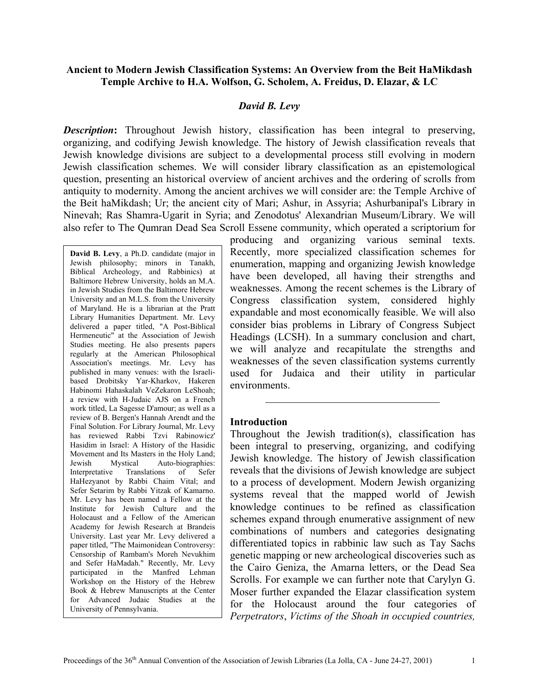## **Ancient to Modern Jewish Classification Systems: An Overview from the Beit HaMikdash Temple Archive to H.A. Wolfson, G. Scholem, A. Freidus, D. Elazar, & LC**

#### *David B. Levy*

**Description:** Throughout Jewish history, classification has been integral to preserving, organizing, and codifying Jewish knowledge. The history of Jewish classification reveals that Jewish knowledge divisions are subject to a developmental process still evolving in modern Jewish classification schemes. We will consider library classification as an epistemological question, presenting an historical overview of ancient archives and the ordering of scrolls from antiquity to modernity. Among the ancient archives we will consider are: the Temple Archive of the Beit haMikdash; Ur; the ancient city of Mari; Ashur, in Assyria; Ashurbanipal's Library in Ninevah; Ras Shamra-Ugarit in Syria; and Zenodotus' Alexandrian Museum/Library. We will also refer to The Qumran Dead Sea Scroll Essene community, which operated a scriptorium for

**David B. Levy**, a Ph.D. candidate (major in Jewish philosophy; minors in Tanakh, Biblical Archeology, and Rabbinics) at Baltimore Hebrew University, holds an M.A. in Jewish Studies from the Baltimore Hebrew University and an M.L.S. from the University of Maryland. He is a librarian at the Pratt Library Humanities Department. Mr. Levy delivered a paper titled, "A Post-Biblical Hermeneutic" at the Association of Jewish Studies meeting. He also presents papers regularly at the American Philosophical Association's meetings. Mr. Levy has published in many venues: with the Israelibased Drobitsky Yar-Kharkov, Hakeren Habinomi Hahaskalah VeZekaron LeShoah; a review with H-Judaic AJS on a French work titled, La Sagesse D'amour; as well as a review of B. Bergen's Hannah Arendt and the Final Solution. For Library Journal, Mr. Levy has reviewed Rabbi Tzvi Rabinowicz' Hasidim in Israel: A History of the Hasidic Movement and Its Masters in the Holy Land; Jewish Mystical Auto-biographies: Interpretative Translations of Sefer HaHezyanot by Rabbi Chaim Vital; and Sefer Setarim by Rabbi Yitzak of Kamarno. Mr. Levy has been named a Fellow at the Institute for Jewish Culture and the Holocaust and a Fellow of the American Academy for Jewish Research at Brandeis University. Last year Mr. Levy delivered a paper titled, "The Maimonidean Controversy: Censorship of Rambam's Moreh Nevukhim and Sefer HaMadah." Recently, Mr. Levy participated in the Manfred Lehman Workshop on the History of the Hebrew Book & Hebrew Manuscripts at the Center for Advanced Judaic Studies at the University of Pennsylvania.

producing and organizing various seminal texts. Recently, more specialized classification schemes for enumeration, mapping and organizing Jewish knowledge have been developed, all having their strengths and weaknesses. Among the recent schemes is the Library of Congress classification system, considered highly expandable and most economically feasible. We will also consider bias problems in Library of Congress Subject Headings (LCSH). In a summary conclusion and chart, we will analyze and recapitulate the strengths and weaknesses of the seven classification systems currently used for Jud aica and their utility in particular environ ments.

\_\_\_\_\_\_\_\_\_\_\_\_\_\_\_\_\_\_\_\_\_\_\_\_\_\_\_\_\_\_\_\_\_

#### **Introduction**

Throughout the Jewish tradition(s), classification has been integral to preserving, organizing, and codifying Jewish knowledge. The history of Jewish classification reveals that the divisions of Jewish knowledge are subject to a process of development. Modern Jewish organizing systems reveal that the mapped world of Jewish knowledge continues to be refined as classification schemes expand through enumerative assignment of new combinations of numbers and categories designating differentiated topics in rabbinic law such as Tay Sachs genetic mapping or new archeological discoveries such as the Cairo Geniza, the Amarna letters, or the Dead Sea Scrolls. For example we can further note that Carylyn G. Moser further expanded the Elazar classification system for the Holocaust around the four categories of *Perpetrators*, *Victims of the Shoah in occupied countries,*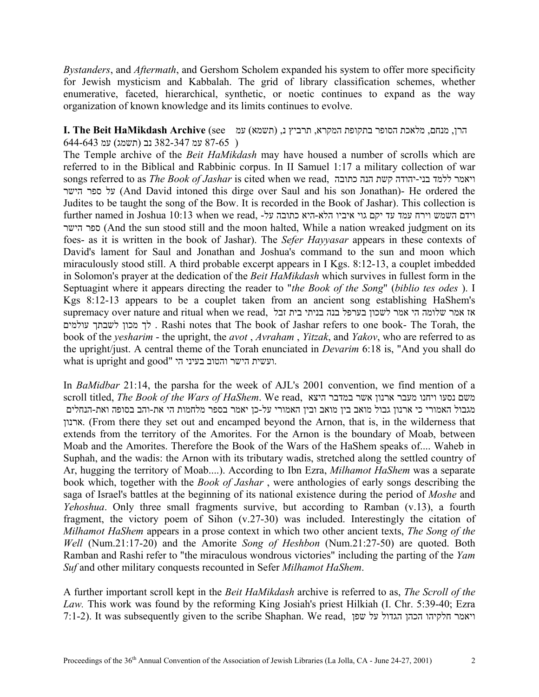*Bystanders*, and *Aftermath*, and Gershom Scholem expanded his system to offer more specificity for Jewish mysticism and Kabbalah. The grid of library classification schemes, whether enumerative, faceted, hierarchical, synthetic, or noetic continues to expand as the way organization of known knowledge and its limits continues to evolve.

# הרן, מנחם, מלאכת הסופר בתקופת המקרא, תרביץ נ, (תשמא) עמ see (**Archive HaMikdash Beit The .I** ( 87-65 עמ 382-347 נב (תשמג) עמ 644-643

The Temple archive of the *Beit HaMikdash* may have housed a number of scrolls which are referred to in the Biblical and Rabbinic corpus. In II Samuel 1:17 a military collection of war songs referred to as *The Book of Jashar* is cited when we read, כתובה הנה קשת יהודה-בני ללמד ויאמר הישר ספר על) And David intoned this dirge over Saul and his son Jonathan)- He ordered the Judites to be taught the song of the Bow. It is recorded in the Book of Jashar). This collection is  $f$ וידם השמש וירח עמד עד יקם גוי איביו הלא-היא כתובה על- ,read וידח עמד עד יקם אוי איביו הלא-היא כתובה על- ו ספר הישר (And the sun stood still and the moon halted, While a nation wreaked judgment on its foes- as it is written in the book of Jashar). The *Sefer Hayyasar* appears in these contexts of David's lament for Saul and Jonathan and Joshua's command to the sun and moon which miraculously stood still. A third probable excerpt appears in I Kgs. 8:12-13, a couplet imbedded in Solomon's prayer at the dedication of the *Beit HaMikdash* which survives in fullest form in the Septuagint where it appears directing the reader to "*the Book of the Song*" (*biblio tes odes* ). I Kgs 8:12-13 appears to be a couplet taken from an ancient song establishing HaShem's אז אמר שלומה הי אמר לשכון בערפל בנה בניתי בית זבל ,supremacy over nature and ritual when we read לך מכון לשבתך עולמים . Rashi notes that The book of Jashar refers to one book- The Torah, the book of the *yesharim* - the upright, the *avot* , *Avraham* , *Yitzak*, and *Yakov*, who are referred to as the upright/just. A central theme of the Torah enunciated in *Devarim* 6:18 is, "And you shall do what is upright and good" ועשית הישר והטוב בעיני הי.

In *BaMidbar* 21:14, the parsha for the week of AJL's 2001 convention, we find mention of a scroll titled, *The Book of the Wars of HaShem*. We read, היצא במדבר אשר ארנון מעבר ויחנו נסעו משם מגבול האמורי כי ארנון גבול מואב בין מואב ובין האמורי על-כן יאמר בספר מלחמות הי את-והב בסופה ואת-הנחלים ארנון.) From there they set out and encamped beyond the Arnon, that is, in the wilderness that extends from the territory of the Amorites. For the Arnon is the boundary of Moab, between Moab and the Amorites. Therefore the Book of the Wars of the HaShem speaks of.... Waheb in Suphah, and the wadis: the Arnon with its tributary wadis, stretched along the settled country of Ar, hugging the territory of Moab....). According to Ibn Ezra, *Milhamot HaShem* was a separate book which, together with the *Book of Jashar* , were anthologies of early songs describing the saga of Israel's battles at the beginning of its national existence during the period of *Moshe* and *Yehoshua*. Only three small fragments survive, but according to Ramban (v.13), a fourth fragment, the victory poem of Sihon (v.27-30) was included. Interestingly the citation of *Milhamot HaShem* appears in a prose context in which two other ancient texts, *The Song of the Well* (Num.21:17-20) and the Amorite *Song of Heshbon* (Num.21:27-50) are quoted. Both Ramban and Rashi refer to "the miraculous wondrous victories" including the parting of the *Yam Suf* and other military conquests recounted in Sefer *Milhamot HaShem*.

A further important scroll kept in the *Beit HaMikdash* archive is referred to as, *The Scroll of the Law.* This work was found by the reforming King Josiah's priest Hilkiah (I. Chr. 5:39-40; Ezra 7:1-2). It was subsequently given to the scribe Shaphan. We read, שפן על הגדול הכהן חלקיהו ויאמר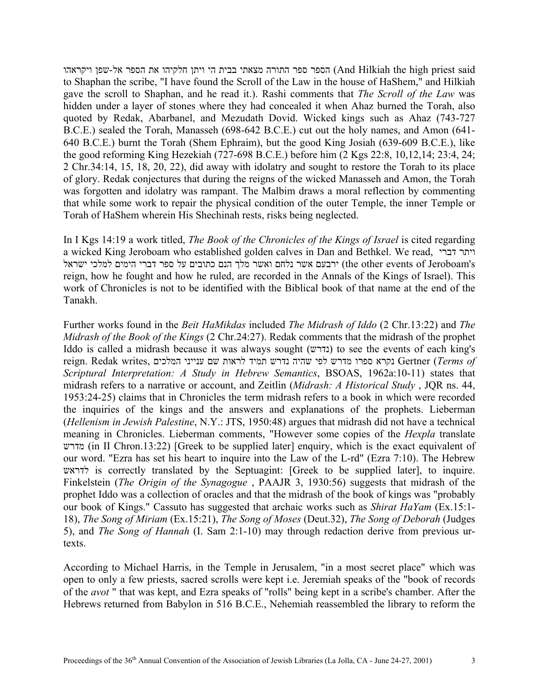said priest high the Hilkiah And (הספר ספר התורה מצאתי בבית הי ויתן חלקיהו את הספר אל-שפן ויקראהו to Shaphan the scribe, "I have found the Scroll of the Law in the house of HaShem," and Hilkiah gave the scroll to Shaphan, and he read it.). Rashi comments that *The Scroll of the Law* was hidden under a layer of stones where they had concealed it when Ahaz burned the Torah, also quoted by Redak, Abarbanel, and Mezudath Dovid. Wicked kings such as Ahaz (743-727 B.C.E.) sealed the Torah, Manasseh (698-642 B.C.E.) cut out the holy names, and Amon (641- 640 B.C.E.) burnt the Torah (Shem Ephraim), but the good King Josiah (639-609 B.C.E.), like the good reforming King Hezekiah (727-698 B.C.E.) before him (2 Kgs 22:8, 10,12,14; 23:4, 24; 2 Chr.34:14, 15, 18, 20, 22), did away with idolatry and sought to restore the Torah to its place of glory. Redak conjectures that during the reigns of the wicked Manasseh and Amon, the Torah was forgotten and idolatry was rampant. The Malbim draws a moral reflection by commenting that while some work to repair the physical condition of the outer Temple, the inner Temple or Torah of HaShem wherein His Shechinah rests, risks being neglected.

In I Kgs 14:19 a work titled, *The Book of the Chronicles of the Kings of Israel* is cited regarding a wicked King Jeroboam who established golden calves in Dan and Bethkel. We read, דברי ויתר ירבעם אשר נלחם ואשר מלך הנם כתובים על ספר דברי הימים למלכי ישראל (the other events of Jeroboam's reign, how he fought and how he ruled, are recorded in the Annals of the Kings of Israel). This work of Chronicles is not to be identified with the Biblical book of that name at the end of the Tanakh.

Further works found in the *Beit HaMikdas* included *The Midrash of Iddo* (2 Chr.13:22) and *The Midrash of the Book of the Kings* (2 Chr.24:27). Redak comments that the midrash of the prophet Iddo is called a midrash because it was always sought (נדרש) to see the events of each king's *of Terms* (Gertner נקרא ספרו מדרש לפי שהיה נדרש תמיד לראות שם ענייני המלכים ,writes Redak .reign *Scriptural Interpretation: A Study in Hebrew Semantics*, BSOAS, 1962a:10-11) states that midrash refers to a narrative or account, and Zeitlin (*Midrash: A Historical Study* , JQR ns. 44, 1953:24-25) claims that in Chronicles the term midrash refers to a book in which were recorded the inquiries of the kings and the answers and explanations of the prophets. Lieberman (*Hellenism in Jewish Palestine*, N.Y.: JTS, 1950:48) argues that midrash did not have a technical meaning in Chronicles. Lieberman comments, "However some copies of the *Hexpla* translate מדרש) in II Chron.13:22) [Greek to be supplied later] enquiry, which is the exact equivalent of our word. "Ezra has set his heart to inquire into the Law of the L-rd" (Ezra 7:10). The Hebrew לדראש is correctly translated by the Septuagint: [Greek to be supplied later], to inquire. Finkelstein (*The Origin of the Synagogue* , PAAJR 3, 1930:56) suggests that midrash of the prophet Iddo was a collection of oracles and that the midrash of the book of kings was "probably our book of Kings." Cassuto has suggested that archaic works such as *Shirat HaYam* (Ex.15:1- 18), *The Song of Miriam* (Ex.15:21), *The Song of Moses* (Deut.32), *The Song of Deborah* (Judges 5), and *The Song of Hannah* (I. Sam 2:1-10) may through redaction derive from previous urtexts.

According to Michael Harris, in the Temple in Jerusalem, "in a most secret place" which was open to only a few priests, sacred scrolls were kept i.e. Jeremiah speaks of the "book of records of the *avot* " that was kept, and Ezra speaks of "rolls" being kept in a scribe's chamber. After the Hebrews returned from Babylon in 516 B.C.E., Nehemiah reassembled the library to reform the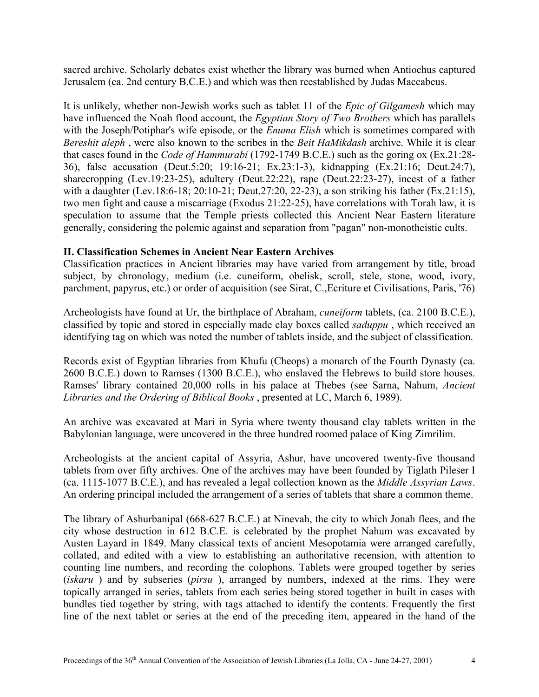sacred archive. Scholarly debates exist whether the library was burned when Antiochus captured Jerusalem (ca. 2nd century B.C.E.) and which was then reestablished by Judas Maccabeus.

It is unlikely, whether non-Jewish works such as tablet 11 of the *Epic of Gilgamesh* which may have influenced the Noah flood account, the *Egyptian Story of Two Brothers* which has parallels with the Joseph/Potiphar's wife episode, or the *Enuma Elish* which is sometimes compared with *Bereshit aleph* , were also known to the scribes in the *Beit HaMikdash* archive. While it is clear that cases found in the *Code of Hammurabi* (1792-1749 B.C.E.) such as the goring ox (Ex.21:28- 36), false accusation (Deut.5:20; 19:16-21; Ex.23:1-3), kidnapping (Ex.21:16; Deut.24:7), sharecropping (Lev.19:23-25), adultery (Deut.22:22), rape (Deut.22:23-27), incest of a father with a daughter (Lev.18:6-18; 20:10-21; Deut.27:20, 22-23), a son striking his father (Ex.21:15), two men fight and cause a miscarriage (Exodus 21:22-25), have correlations with Torah law, it is speculation to assume that the Temple priests collected this Ancient Near Eastern literature generally, considering the polemic against and separation from "pagan" non-monotheistic cults.

# **II. Classification Schemes in Ancient Near Eastern Archives**

Classification practices in Ancient libraries may have varied from arrangement by title, broad subject, by chronology, medium (i.e. cuneiform, obelisk, scroll, stele, stone, wood, ivory, parchment, papyrus, etc.) or order of acquisition (see Sirat, C.,Ecriture et Civilisations, Paris, '76)

Archeologists have found at Ur, the birthplace of Abraham, *cuneiform* tablets, (ca. 2100 B.C.E.), classified by topic and stored in especially made clay boxes called *saduppu* , which received an identifying tag on which was noted the number of tablets inside, and the subject of classification.

Records exist of Egyptian libraries from Khufu (Cheops) a monarch of the Fourth Dynasty (ca. 2600 B.C.E.) down to Ramses (1300 B.C.E.), who enslaved the Hebrews to build store houses. Ramses' library contained 20,000 rolls in his palace at Thebes (see Sarna, Nahum, *Ancient Libraries and the Ordering of Biblical Books* , presented at LC, March 6, 1989).

An archive was excavated at Mari in Syria where twenty thousand clay tablets written in the Babylonian language, were uncovered in the three hundred roomed palace of King Zimrilim.

Archeologists at the ancient capital of Assyria, Ashur, have uncovered twenty-five thousand tablets from over fifty archives. One of the archives may have been founded by Tiglath Pileser I (ca. 1115-1077 B.C.E.), and has revealed a legal collection known as the *Middle Assyrian Laws*. An ordering principal included the arrangement of a series of tablets that share a common theme.

The library of Ashurbanipal (668-627 B.C.E.) at Ninevah, the city to which Jonah flees, and the city whose destruction in 612 B.C.E. is celebrated by the prophet Nahum was excavated by Austen Layard in 1849. Many classical texts of ancient Mesopotamia were arranged carefully, collated, and edited with a view to establishing an authoritative recension, with attention to counting line numbers, and recording the colophons. Tablets were grouped together by series (*iskaru* ) and by subseries (*pirsu* ), arranged by numbers, indexed at the rims. They were topically arranged in series, tablets from each series being stored together in built in cases with bundles tied together by string, with tags attached to identify the contents. Frequently the first line of the next tablet or series at the end of the preceding item, appeared in the hand of the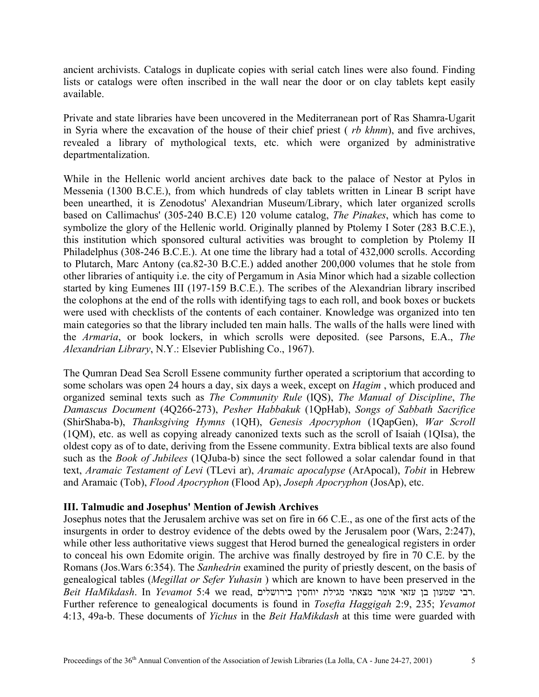ancient archivists. Catalogs in duplicate copies with serial catch lines were also found. Finding lists or catalogs were often inscribed in the wall near the door or on clay tablets kept easily available.

Private and state libraries have been uncovered in the Mediterranean port of Ras Shamra-Ugarit in Syria where the excavation of the house of their chief priest ( *rb khnm*), and five archives, revealed a library of mythological texts, etc. which were organized by administrative departmentalization.

While in the Hellenic world ancient archives date back to the palace of Nestor at Pylos in Messenia (1300 B.C.E.), from which hundreds of clay tablets written in Linear B script have been unearthed, it is Zenodotus' Alexandrian Museum/Library, which later organized scrolls based on Callimachus' (305-240 B.C.E) 120 volume catalog, *The Pinakes*, which has come to symbolize the glory of the Hellenic world. Originally planned by Ptolemy I Soter (283 B.C.E.), this institution which sponsored cultural activities was brought to completion by Ptolemy II Philadelphus (308-246 B.C.E.). At one time the library had a total of 432,000 scrolls. According to Plutarch, Marc Antony (ca.82-30 B.C.E.) added another 200,000 volumes that he stole from other libraries of antiquity i.e. the city of Pergamum in Asia Minor which had a sizable collection started by king Eumenes III (197-159 B.C.E.). The scribes of the Alexandrian library inscribed the colophons at the end of the rolls with identifying tags to each roll, and book boxes or buckets were used with checklists of the contents of each container. Knowledge was organized into ten main categories so that the library included ten main halls. The walls of the halls were lined with the *Armaria*, or book lockers, in which scrolls were deposited. (see Parsons, E.A., *The Alexandrian Library*, N.Y.: Elsevier Publishing Co., 1967).

The Qumran Dead Sea Scroll Essene community further operated a scriptorium that according to some scholars was open 24 hours a day, six days a week, except on *Hagim* , which produced and organized seminal texts such as *The Community Rule* (IQS), *The Manual of Discipline*, *The Damascus Document* (4Q266-273), *Pesher Habbakuk* (1QpHab), *Songs of Sabbath Sacrifice* (ShirShaba-b), *Thanksgiving Hymns* (1QH), *Genesis Apocryphon* (1QapGen), *War Scroll* (1QM), etc. as well as copying already canonized texts such as the scroll of Isaiah (1QIsa), the oldest copy as of to date, deriving from the Essene community. Extra biblical texts are also found such as the *Book of Jubilees* (1QJuba-b) since the sect followed a solar calendar found in that text, *Aramaic Testament of Levi* (TLevi ar), *Aramaic apocalypse* (ArApocal), *Tobit* in Hebrew and Aramaic (Tob), *Flood Apocryphon* (Flood Ap), *Joseph Apocryphon* (JosAp), etc.

## **III. Talmudic and Josephus' Mention of Jewish Archives**

Josephus notes that the Jerusalem archive was set on fire in 66 C.E., as one of the first acts of the insurgents in order to destroy evidence of the debts owed by the Jerusalem poor (Wars, 2:247), while other less authoritative views suggest that Herod burned the genealogical registers in order to conceal his own Edomite origin. The archive was finally destroyed by fire in 70 C.E. by the Romans (Jos.Wars 6:354). The *Sanhedrin* examined the purity of priestly descent, on the basis of genealogical tables (*Megillat or Sefer Yuhasin* ) which are known to have been preserved in the .רבי שמעון בן עזאי אומר מצאתי מגילת יוחסין בירושלים ,read we 5:4 *Yevamot* In .*HaMikdash Beit* Further reference to genealogical documents is found in *Tosefta Haggigah* 2:9, 235; *Yevamot* 4:13, 49a-b. These documents of *Yichus* in the *Beit HaMikdash* at this time were guarded with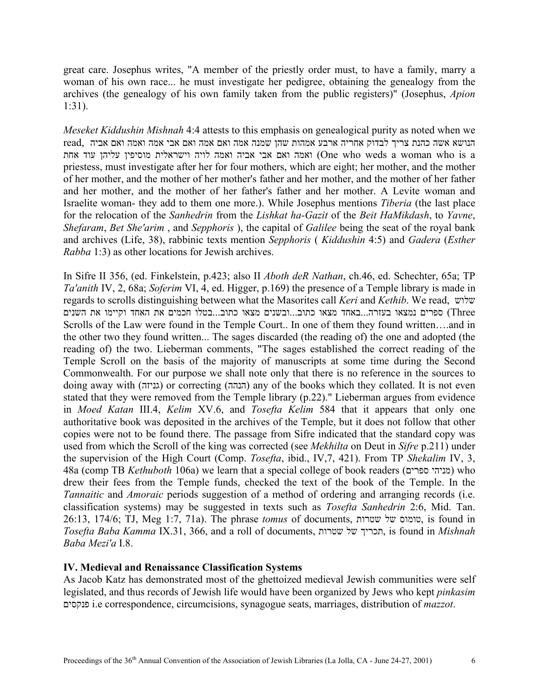great care. Josephus writes, "A member of the priestly order must, to have a family, marry a woman of his own race... he must investigate her pedigree, obtaining the genealogy from the archives (the genealogy of his own family taken from the public registers)" (Josephus, *Apion* 1:31).

*Meseket Kiddushin Mishnah* 4:4 attests to this emphasis on genealogical purity as noted when we הנושא אשה כהנת צריך לבדוק אחריה ארבע אמהות שהן שמנה אמה ואם אמה ואם אביה הממה ואם אביה ואמה ואמה לויה וישראלית מוסיפין עליהן עוד אחת (One who weds a woman who is a priestess, must investigate after her for four mothers, which are eight; her mother, and the mother of her mother, and the mother of her mother's father and her mother, and the mother of her father and her mother, and the mother of her father's father and her mother. A Levite woman and Israelite woman- they add to them one more.). While Josephus mentions *Tiberia* (the last place for the relocation of the *Sanhedrin* from the *Lishkat ha-Gazit* of the *Beit HaMikdash*, to *Yavne*, *Shefaram*, *Bet She'arim* , and *Sepphoris* ), the capital of *Galilee* being the seat of the royal bank and archives (Life, 38), rabbinic texts mention *Sepphoris* ( *Kiddushin* 4:5) and *Gadera* (*Esther Rabba* 1:3) as other locations for Jewish archives.

In Sifre II 356, (ed. Finkelstein, p.423; also II *Aboth deR Nathan*, ch.46, ed. Schechter, 65a; TP *Ta'anith* IV, 2, 68a; *Soferim* VI, 4, ed. Higger, p.169) the presence of a Temple library is made in regards to scrolls distinguishing between what the Masorites call *Keri* and *Kethib*. We read, שלוש Three (ספרים נמצאו בעזרה...באחד מצאו כתוב...ובשנים מצאו כתוב...בטלו חכמים את האחד וקיימו את השנים Scrolls of the Law were found in the Temple Court.. In one of them they found written….and in the other two they found written... The sages discarded (the reading of) the one and adopted (the reading of) the two. Lieberman comments, "The sages established the correct reading of the Temple Scroll on the basis of the majority of manuscripts at some time during the Second Commonwealth. For our purpose we shall note only that there is no reference in the sources to doing away with (גניזה) or correcting (הנהה) any of the books which they collated. It is not even stated that they were removed from the Temple library (p.22)." Lieberman argues from evidence in *Moed Katan* III.4, *Kelim* XV.6, and *Tosefta Kelim* 584 that it appears that only one authoritative book was deposited in the archives of the Temple, but it does not follow that other copies were not to be found there. The passage from Sifre indicated that the standard copy was used from which the Scroll of the king was corrected (see *Mekhilta* on Deut in *Sifre* p.211) under the supervision of the High Court (Comp. *Tosefta*, ibid., IV,7, 421). From TP *Shekalim* IV, 3, 48a (comp TB *Kethuboth* 106a) we learn that a special college of book readers (מניהי ספרים) who drew their fees from the Temple funds, checked the text of the book of the Temple. In the *Tannaitic* and *Amoraic* periods suggestion of a method of ordering and arranging records (i.e. classification systems) may be suggested in texts such as *Tosefta Sanhedrin* 2:6, Mid. Tan. 26:13, 174/6; TJ, Meg 1:7, 71a). The phrase *tomus* of documents, שטרות של טומוס, is found in *Tosefta Baba Kamma* IX.31, 366, and a roll of documents, שטרות של תכריך, is found in *Mishnah Baba Mezi'a* I.8.

## **IV. Medieval and Renaissance Classification Systems**

As Jacob Katz has demonstrated most of the ghettoized medieval Jewish communities were self legislated, and thus records of Jewish life would have been organized by Jews who kept *pinkasim* פנקסים i.e correspondence, circumcisions, synagogue seats, marriages, distribution of *mazzot*.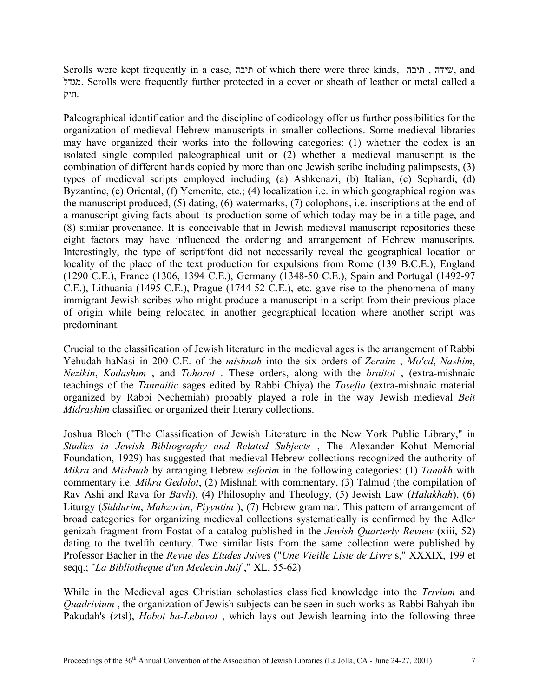Scrolls were kept frequently in a case, תיבה of which there were three kinds, תיבה , שידה, and מגדל. Scrolls were frequently further protected in a cover or sheath of leather or metal called a .תיק

Paleographical identification and the discipline of codicology offer us further possibilities for the organization of medieval Hebrew manuscripts in smaller collections. Some medieval libraries may have organized their works into the following categories: (1) whether the codex is an isolated single compiled paleographical unit or (2) whether a medieval manuscript is the combination of different hands copied by more than one Jewish scribe including palimpsests, (3) types of medieval scripts employed including (a) Ashkenazi, (b) Italian, (c) Sephardi, (d) Byzantine, (e) Oriental, (f) Yemenite, etc.; (4) localization i.e. in which geographical region was the manuscript produced, (5) dating, (6) watermarks, (7) colophons, i.e. inscriptions at the end of a manuscript giving facts about its production some of which today may be in a title page, and (8) similar provenance. It is conceivable that in Jewish medieval manuscript repositories these eight factors may have influenced the ordering and arrangement of Hebrew manuscripts. Interestingly, the type of script/font did not necessarily reveal the geographical location or locality of the place of the text production for expulsions from Rome (139 B.C.E.), England (1290 C.E.), France (1306, 1394 C.E.), Germany (1348-50 C.E.), Spain and Portugal (1492-97 C.E.), Lithuania (1495 C.E.), Prague (1744-52 C.E.), etc. gave rise to the phenomena of many immigrant Jewish scribes who might produce a manuscript in a script from their previous place of origin while being relocated in another geographical location where another script was predominant.

Crucial to the classification of Jewish literature in the medieval ages is the arrangement of Rabbi Yehudah haNasi in 200 C.E. of the *mishnah* into the six orders of *Zeraim* , *Mo'ed*, *Nashim*, *Nezikin*, *Kodashim* , and *Tohorot* . These orders, along with the *braitot* , (extra-mishnaic teachings of the *Tannaitic* sages edited by Rabbi Chiya) the *Tosefta* (extra-mishnaic material organized by Rabbi Nechemiah) probably played a role in the way Jewish medieval *Beit Midrashim* classified or organized their literary collections.

Joshua Bloch ("The Classification of Jewish Literature in the New York Public Library," in *Studies in Jewish Bibliography and Related Subjects* , The Alexander Kohut Memorial Foundation, 1929) has suggested that medieval Hebrew collections recognized the authority of *Mikra* and *Mishnah* by arranging Hebrew *seforim* in the following categories: (1) *Tanakh* with commentary i.e. *Mikra Gedolot*, (2) Mishnah with commentary, (3) Talmud (the compilation of Rav Ashi and Rava for *Bavli*), (4) Philosophy and Theology, (5) Jewish Law (*Halakhah*), (6) Liturgy (*Siddurim*, *Mahzorim*, *Piyyutim* ), (7) Hebrew grammar. This pattern of arrangement of broad categories for organizing medieval collections systematically is confirmed by the Adler genizah fragment from Fostat of a catalog published in the *Jewish Quarterly Review* (xiii, 52) dating to the twelfth century. Two similar lists from the same collection were published by Professor Bacher in the *Revue des Etudes Juive*s ("*Une Vieille Liste de Livre* s," XXXIX, 199 et seqq.; "*La Bibliotheque d'un Medecin Juif* ," XL, 55-62)

While in the Medieval ages Christian scholastics classified knowledge into the *Trivium* and *Quadrivium* , the organization of Jewish subjects can be seen in such works as Rabbi Bahyah ibn Pakudah's (ztsl), *Hobot ha-Lebavot* , which lays out Jewish learning into the following three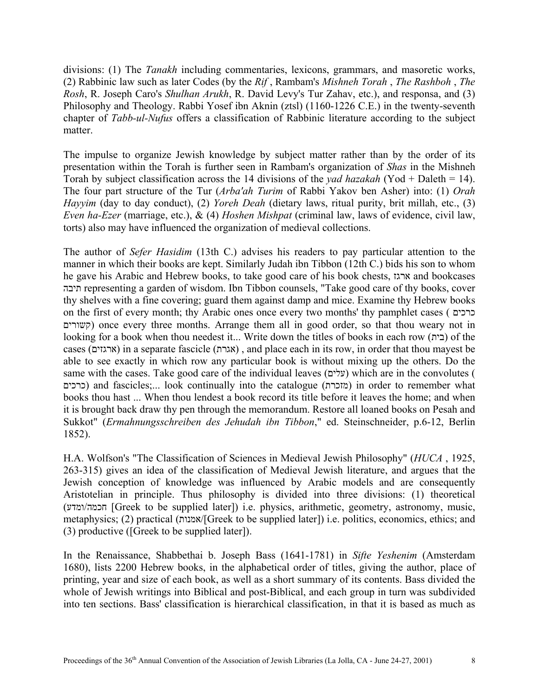divisions: (1) The *Tanakh* including commentaries, lexicons, grammars, and masoretic works, (2) Rabbinic law such as later Codes (by the *Rif* , Rambam's *Mishneh Torah* , *The Rashboh* , *The Rosh*, R. Joseph Caro's *Shulhan Arukh*, R. David Levy's Tur Zahav, etc.), and responsa, and (3) Philosophy and Theology. Rabbi Yosef ibn Aknin (ztsl) (1160-1226 C.E.) in the twenty-seventh chapter of *Tabb-ul-Nufus* offers a classification of Rabbinic literature according to the subject matter.

The impulse to organize Jewish knowledge by subject matter rather than by the order of its presentation within the Torah is further seen in Rambam's organization of *Shas* in the Mishneh Torah by subject classification across the 14 divisions of the *yad hazakah* (Yod + Daleth = 14). The four part structure of the Tur (*Arba'ah Turim* of Rabbi Yakov ben Asher) into: (1) *Orah Hayyim* (day to day conduct), (2) *Yoreh Deah* (dietary laws, ritual purity, brit millah, etc., (3) *Even ha-Ezer* (marriage, etc.), & (4) *Hoshen Mishpat* (criminal law, laws of evidence, civil law, torts) also may have influenced the organization of medieval collections.

The author of *Sefer Hasidim* (13th C.) advises his readers to pay particular attention to the manner in which their books are kept. Similarly Judah ibn Tibbon (12th C.) bids his son to whom he gave his Arabic and Hebrew books, to take good care of his book chests, ארגז and bookcases תיבה representing a garden of wisdom. Ibn Tibbon counsels, "Take good care of thy books, cover thy shelves with a fine covering; guard them against damp and mice. Examine thy Hebrew books on the first of every month; thy Arabic ones once every two months' thy pamphlet cases ( כרכים קשורים (once every three months. Arrange them all in good order, so that thou weary not in looking for a book when thou needest it... Write down the titles of books in each row (בית) of the cases ( ארגזים (in a separate fascicle (אגרת (, and place each in its row, in order that thou mayest be able to see exactly in which row any particular book is without mixing up the others. Do the same with the cases. Take good care of the individual leaves ( עלים (which are in the convolutes ( כרכים) and fascicles;... look continually into the catalogue (מזכרת) in order to remember what books thou hast ... When thou lendest a book record its title before it leaves the home; and when it is brought back draw thy pen through the memorandum. Restore all loaned books on Pesah and Sukkot" (*Ermahnungsschreiben des Jehudah ibn Tibbon*," ed. Steinschneider, p.6-12, Berlin 1852).

H.A. Wolfson's "The Classification of Sciences in Medieval Jewish Philosophy" (*HUCA* , 1925, 263-315) gives an idea of the classification of Medieval Jewish literature, and argues that the Jewish conception of knowledge was influenced by Arabic models and are consequently Aristotelian in principle. Thus philosophy is divided into three divisions: (1) theoretical (ומדע/חכמה] Greek to be supplied later]) i.e. physics, arithmetic, geometry, astronomy, music, metaphysics; (2) practical (אמנות/]Greek to be supplied later]) i.e. politics, economics, ethics; and (3) productive ([Greek to be supplied later]).

In the Renaissance, Shabbethai b. Joseph Bass (1641-1781) in *Sifte Yeshenim* (Amsterdam 1680), lists 2200 Hebrew books, in the alphabetical order of titles, giving the author, place of printing, year and size of each book, as well as a short summary of its contents. Bass divided the whole of Jewish writings into Biblical and post-Biblical, and each group in turn was subdivided into ten sections. Bass' classification is hierarchical classification, in that it is based as much as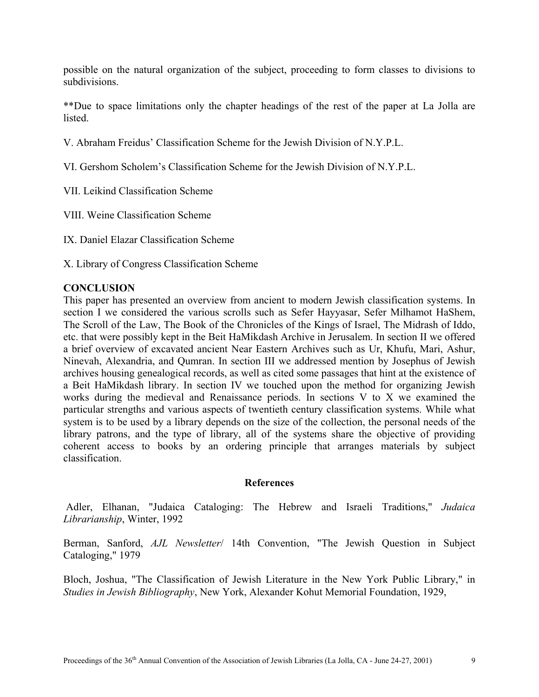possible on the natural organization of the subject, proceeding to form classes to divisions to subdivisions.

\*\*Due to space limitations only the chapter headings of the rest of the paper at La Jolla are **listed** 

- V. Abraham Freidus' Classification Scheme for the Jewish Division of N.Y.P.L.
- VI. Gershom Scholem's Classification Scheme for the Jewish Division of N.Y.P.L.
- VII. Leikind Classification Scheme
- VIII. Weine Classification Scheme
- IX. Daniel Elazar Classification Scheme
- X. Library of Congress Classification Scheme

# **CONCLUSION**

This paper has presented an overview from ancient to modern Jewish classification systems. In section I we considered the various scrolls such as Sefer Hayyasar, Sefer Milhamot HaShem, The Scroll of the Law, The Book of the Chronicles of the Kings of Israel, The Midrash of Iddo, etc. that were possibly kept in the Beit HaMikdash Archive in Jerusalem. In section II we offered a brief overview of excavated ancient Near Eastern Archives such as Ur, Khufu, Mari, Ashur, Ninevah, Alexandria, and Qumran. In section III we addressed mention by Josephus of Jewish archives housing genealogical records, as well as cited some passages that hint at the existence of a Beit HaMikdash library. In section IV we touched upon the method for organizing Jewish works during the medieval and Renaissance periods. In sections V to X we examined the particular strengths and various aspects of twentieth century classification systems. While what system is to be used by a library depends on the size of the collection, the personal needs of the library patrons, and the type of library, all of the systems share the objective of providing coherent access to books by an ordering principle that arranges materials by subject classification.

#### **References**

Adler, Elhanan, "Judaica Cataloging: The Hebrew and Israeli Traditions," *Judaica Librarianship*, Winter, 1992

Berman, Sanford, *AJL Newsletter*/ 14th Convention, "The Jewish Question in Subject Cataloging," 1979

Bloch, Joshua, "The Classification of Jewish Literature in the New York Public Library," in *Studies in Jewish Bibliography*, New York, Alexander Kohut Memorial Foundation, 1929,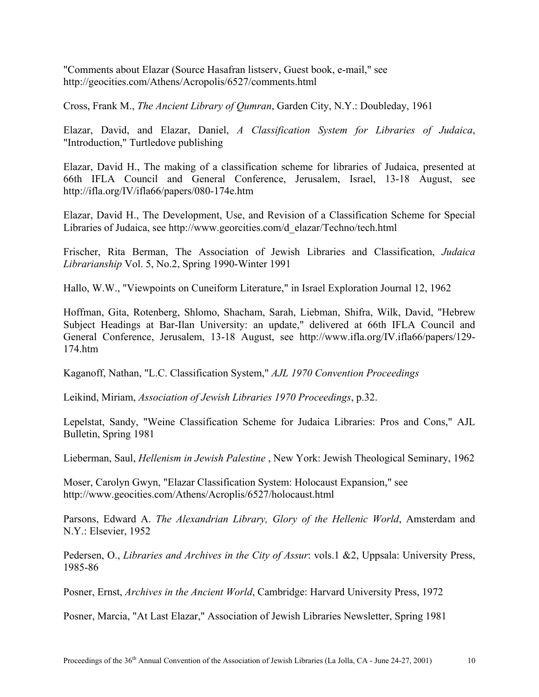"Comments about Elazar (Source Hasafran listserv, Guest book, e-mail," see http://geocities.com/Athens/Acropolis/6527/comments.html

Cross, Frank M., *The Ancient Library of Qumran*, Garden City, N.Y.: Doubleday, 1961

Elazar, David, and Elazar, Daniel, *A Classification System for Libraries of Judaica*, "Introduction," Turtledove publishing

Elazar, David H., The making of a classification scheme for libraries of Judaica, presented at 66th IFLA Council and General Conference, Jerusalem, Israel, 13-18 August, see http://ifla.org/IV/ifla66/papers/080-174e.htm

Elazar, David H., The Development, Use, and Revision of a Classification Scheme for Special Libraries of Judaica, see http://www.georcities.com/d\_elazar/Techno/tech.html

Frischer, Rita Berman, The Association of Jewish Libraries and Classification, *Judaica Librarianship* Vol. 5, No.2, Spring 1990-Winter 1991

Hallo, W.W., "Viewpoints on Cuneiform Literature," in Israel Exploration Journal 12, 1962

Hoffman, Gita, Rotenberg, Shlomo, Shacham, Sarah, Liebman, Shifra, Wilk, David, "Hebrew Subject Headings at Bar-Ilan University: an update," delivered at 66th IFLA Council and General Conference, Jerusalem, 13-18 August, see http://www.ifla.org/IV.ifla66/papers/129- 174.htm

Kaganoff, Nathan, "L.C. Classification System," *AJL 1970 Convention Proceedings*

Leikind, Miriam, *Association of Jewish Libraries 1970 Proceedings*, p.32.

Lepelstat, Sandy, "Weine Classification Scheme for Judaica Libraries: Pros and Cons," AJL Bulletin, Spring 1981

Lieberman, Saul, *Hellenism in Jewish Palestine* , New York: Jewish Theological Seminary, 1962

Moser, Carolyn Gwyn, "Elazar Classification System: Holocaust Expansion," see http://www.geocities.com/Athens/Acroplis/6527/holocaust.html

Parsons, Edward A. *The Alexandrian Library, Glory of the Hellenic World*, Amsterdam and N.Y.: Elsevier, 1952

Pedersen, O., *Libraries and Archives in the City of Assur*: vols.1 &2, Uppsala: University Press, 1985-86

Posner, Ernst, *Archives in the Ancient World*, Cambridge: Harvard University Press, 1972

Posner, Marcia, "At Last Elazar," Association of Jewish Libraries Newsletter, Spring 1981